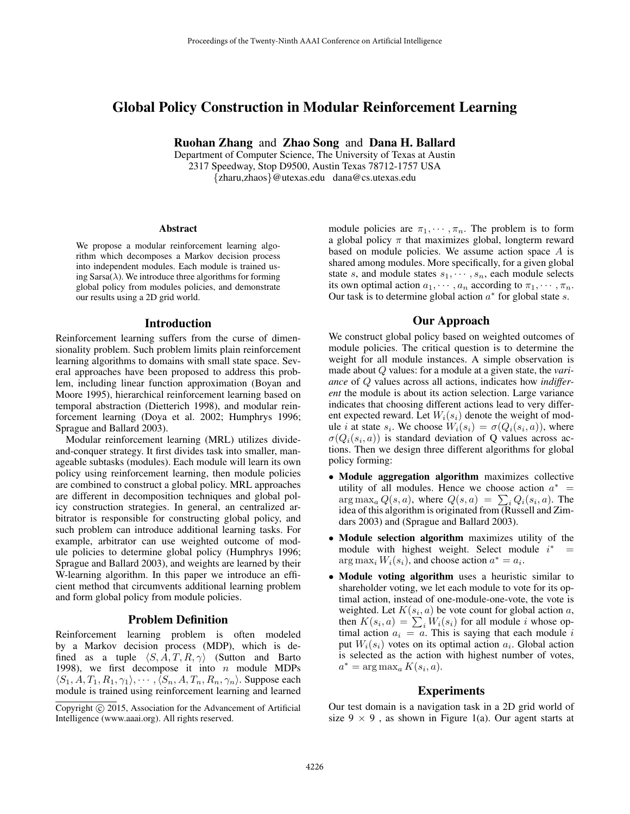# Global Policy Construction in Modular Reinforcement Learning

Ruohan Zhang and Zhao Song and Dana H. Ballard

Department of Computer Science, The University of Texas at Austin 2317 Speedway, Stop D9500, Austin Texas 78712-1757 USA {zharu,zhaos}@utexas.edu dana@cs.utexas.edu

#### Abstract

We propose a modular reinforcement learning algorithm which decomposes a Markov decision process into independent modules. Each module is trained using Sarsa( $\lambda$ ). We introduce three algorithms for forming global policy from modules policies, and demonstrate our results using a 2D grid world.

### Introduction

Reinforcement learning suffers from the curse of dimensionality problem. Such problem limits plain reinforcement learning algorithms to domains with small state space. Several approaches have been proposed to address this problem, including linear function approximation (Boyan and Moore 1995), hierarchical reinforcement learning based on temporal abstraction (Dietterich 1998), and modular reinforcement learning (Doya et al. 2002; Humphrys 1996; Sprague and Ballard 2003).

Modular reinforcement learning (MRL) utilizes divideand-conquer strategy. It first divides task into smaller, manageable subtasks (modules). Each module will learn its own policy using reinforcement learning, then module policies are combined to construct a global policy. MRL approaches are different in decomposition techniques and global policy construction strategies. In general, an centralized arbitrator is responsible for constructing global policy, and such problem can introduce additional learning tasks. For example, arbitrator can use weighted outcome of module policies to determine global policy (Humphrys 1996; Sprague and Ballard 2003), and weights are learned by their W-learning algorithm. In this paper we introduce an efficient method that circumvents additional learning problem and form global policy from module policies.

### Problem Definition

Reinforcement learning problem is often modeled by a Markov decision process (MDP), which is defined as a tuple  $\langle S, A, T, R, \gamma \rangle$  (Sutton and Barto 1998), we first decompose it into  $n$  module MDPs  $\langle S_1, A, T_1, R_1, \gamma_1 \rangle, \cdots, \langle S_n, A, T_n, R_n, \gamma_n \rangle$ . Suppose each module is trained using reinforcement learning and learned

module policies are  $\pi_1, \dots, \pi_n$ . The problem is to form a global policy  $\pi$  that maximizes global, longterm reward based on module policies. We assume action space A is shared among modules. More specifically, for a given global state s, and module states  $s_1, \dots, s_n$ , each module selects its own optimal action  $a_1, \dots, a_n$  according to  $\pi_1, \dots, \pi_n$ . Our task is to determine global action  $a^*$  for global state s.

## Our Approach

We construct global policy based on weighted outcomes of module policies. The critical question is to determine the weight for all module instances. A simple observation is made about Q values: for a module at a given state, the *variance* of Q values across all actions, indicates how *indifferent* the module is about its action selection. Large variance indicates that choosing different actions lead to very different expected reward. Let  $W_i(s_i)$  denote the weight of module *i* at state  $s_i$ . We choose  $W_i(s_i) = \sigma(Q_i(s_i, a))$ , where  $\sigma(Q_i(s_i, a))$  is standard deviation of Q values across actions. Then we design three different algorithms for global policy forming:

- Module aggregation algorithm maximizes collective utility of all modules. Hence we choose action  $a^*$  =  $\arg \max_a Q(s, a)$ , where  $Q(s, a) = \sum_i Q_i(s_i, a)$ . The idea of this algorithm is originated from (Russell and Zimdars 2003) and (Sprague and Ballard 2003).
- Module selection algorithm maximizes utility of the module with highest weight. Select module  $i^* =$  $\arg \max_i W_i(s_i)$ , and choose action  $a^* = a_i$ .
- Module voting algorithm uses a heuristic similar to shareholder voting, we let each module to vote for its optimal action, instead of one-module-one-vote, the vote is weighted. Let  $K(s_i, a)$  be vote count for global action a, then  $K(s_i, a) = \sum_i W_i(s_i)$  for all module i whose optimal action  $a_i = a$ . This is saying that each module i put  $W_i(s_i)$  votes on its optimal action  $a_i$ . Global action is selected as the action with highest number of votes,  $a^* = \arg \max_a K(s_i, a).$

### Experiments

Our test domain is a navigation task in a 2D grid world of size  $9 \times 9$ , as shown in Figure 1(a). Our agent starts at

Copyright (c) 2015, Association for the Advancement of Artificial Intelligence (www.aaai.org). All rights reserved.